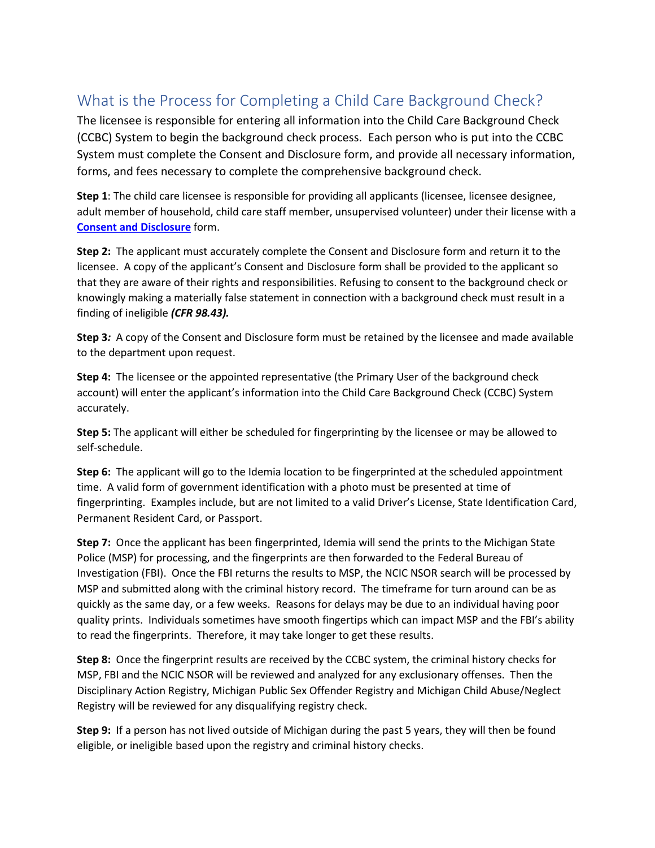## What is the Process for Completing a Child Care Background Check?

The licensee is responsible for entering all information into the Child Care Background Check (CCBC) System to begin the background check process. Each person who is put into the CCBC System must complete the Consent and Disclosure form, and provide all necessary information, forms, and fees necessary to complete the comprehensive background check.

**Step 1**: The child care licensee is responsible for providing all applicants (licensee, licensee designee, adult member of household, child care staff member, unsupervised volunteer) under their license with a **[Consent and Disclosure](https://www.michigan.gov/documents/mde/Consent_and_Disclosure_License_Exempt-Parent_on_Site_7.2018_final_ADA_628572_7.pdf)** form.

**Step 2:** The applicant must accurately complete the Consent and Disclosure form and return it to the licensee. A copy of the applicant's Consent and Disclosure form shall be provided to the applicant so that they are aware of their rights and responsibilities. Refusing to consent to the background check or knowingly making a materially false statement in connection with a background check must result in a finding of ineligible *(CFR 98.43).* 

**Step 3***:* A copy of the Consent and Disclosure form must be retained by the licensee and made available to the department upon request.

**Step 4:** The licensee or the appointed representative (the Primary User of the background check account) will enter the applicant's information into the Child Care Background Check (CCBC) System accurately.

**Step 5:** The applicant will either be scheduled for fingerprinting by the licensee or may be allowed to self-schedule.

**Step 6:** The applicant will go to the Idemia location to be fingerprinted at the scheduled appointment time. A valid form of government identification with a photo must be presented at time of fingerprinting. Examples include, but are not limited to a valid Driver's License, State Identification Card, Permanent Resident Card, or Passport.

**Step 7:** Once the applicant has been fingerprinted, Idemia will send the prints to the Michigan State Police (MSP) for processing, and the fingerprints are then forwarded to the Federal Bureau of Investigation (FBI). Once the FBI returns the results to MSP, the NCIC NSOR search will be processed by MSP and submitted along with the criminal history record. The timeframe for turn around can be as quickly as the same day, or a few weeks. Reasons for delays may be due to an individual having poor quality prints. Individuals sometimes have smooth fingertips which can impact MSP and the FBI's ability to read the fingerprints. Therefore, it may take longer to get these results.

**Step 8:** Once the fingerprint results are received by the CCBC system, the criminal history checks for MSP, FBI and the NCIC NSOR will be reviewed and analyzed for any exclusionary offenses. Then the Disciplinary Action Registry, Michigan Public Sex Offender Registry and Michigan Child Abuse/Neglect Registry will be reviewed for any disqualifying registry check.

**Step 9:** If a person has not lived outside of Michigan during the past 5 years, they will then be found eligible, or ineligible based upon the registry and criminal history checks.